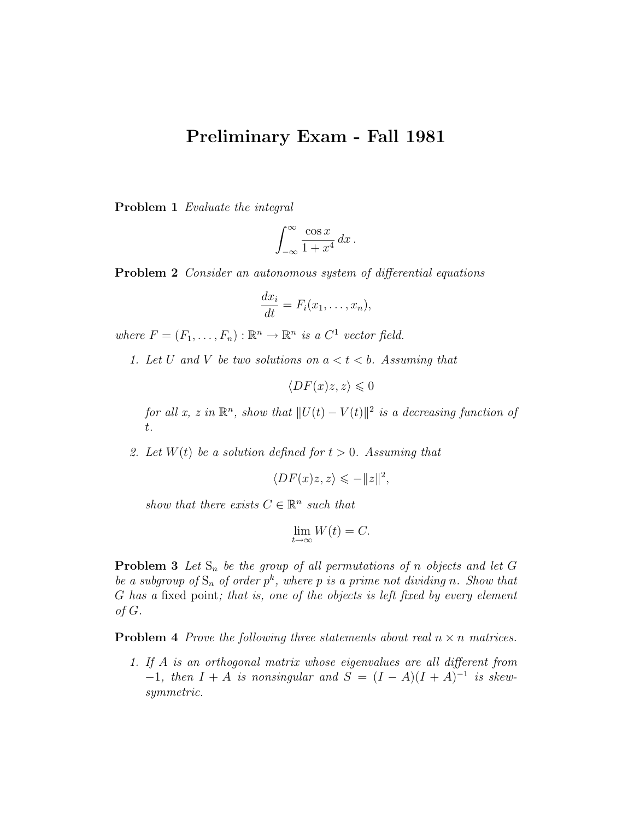## Preliminary Exam - Fall 1981

Problem 1 Evaluate the integral

$$
\int_{-\infty}^{\infty} \frac{\cos x}{1 + x^4} \, dx \, .
$$

Problem 2 Consider an autonomous system of differential equations

$$
\frac{dx_i}{dt} = F_i(x_1, \dots, x_n),
$$

where  $F = (F_1, \ldots, F_n) : \mathbb{R}^n \to \mathbb{R}^n$  is a  $C^1$  vector field.

1. Let U and V be two solutions on  $a < t < b$ . Assuming that

 $\langle DF(x)z, z \rangle \leq 0$ 

for all x, z in  $\mathbb{R}^n$ , show that  $||U(t) - V(t)||^2$  is a decreasing function of t.

2. Let  $W(t)$  be a solution defined for  $t > 0$ . Assuming that

$$
\langle DF(x)z, z \rangle \leq -\|z\|^2,
$$

show that there exists  $C \in \mathbb{R}^n$  such that

$$
\lim_{t \to \infty} W(t) = C.
$$

**Problem 3** Let  $S_n$  be the group of all permutations of n objects and let G be a subgroup of  $S_n$  of order  $p^k$ , where p is a prime not dividing n. Show that G has a fixed point; that is, one of the objects is left fixed by every element of G.

**Problem 4** Prove the following three statements about real  $n \times n$  matrices.

1. If A is an orthogonal matrix whose eigenvalues are all different from  $-1$ , then  $I + A$  is nonsingular and  $S = (I - A)(I + A)^{-1}$  is skewsymmetric.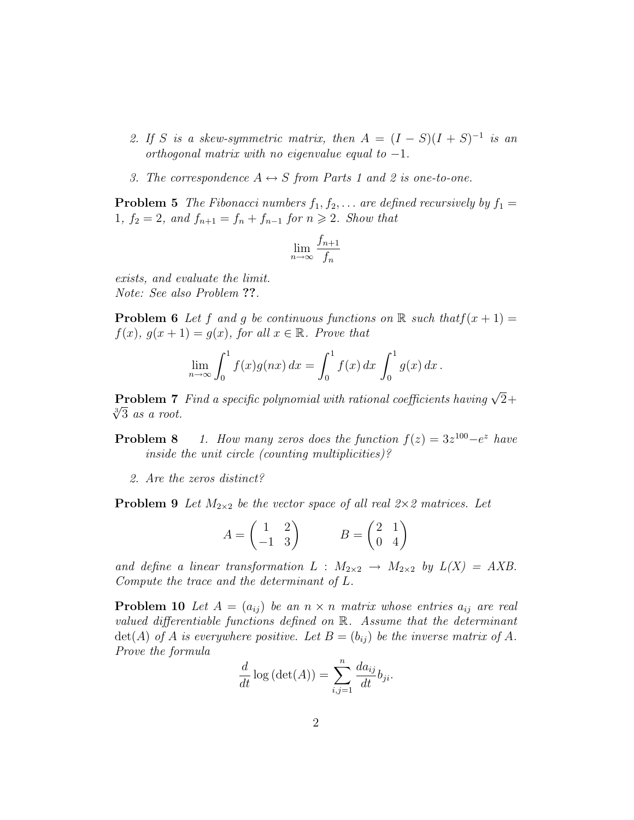- 2. If S is a skew-symmetric matrix, then  $A = (I S)(I + S)^{-1}$  is an orthogonal matrix with no eigenvalue equal to  $-1$ .
- 3. The correspondence  $A \leftrightarrow S$  from Parts 1 and 2 is one-to-one.

**Problem 5** The Fibonacci numbers  $f_1, f_2, \ldots$  are defined recursively by  $f_1 =$ 1,  $f_2 = 2$ , and  $f_{n+1} = f_n + f_{n-1}$  for  $n \ge 2$ . Show that

$$
\lim_{n \to \infty} \frac{f_{n+1}}{f_n}
$$

exists, and evaluate the limit. Note: See also Problem ??.

**Problem 6** Let f and g be continuous functions on  $\mathbb{R}$  such that  $f(x + 1) =$  $f(x), g(x+1) = g(x),$  for all  $x \in \mathbb{R}$ . Prove that

$$
\lim_{n \to \infty} \int_0^1 f(x)g(nx) \, dx = \int_0^1 f(x) \, dx \int_0^1 g(x) \, dx \, .
$$

**Problem 7** Find a specific polynomial with rational coefficients having  $\sqrt{2}$ + **Problem** 7<br> $\sqrt[3]{3}$  as a root.

**Problem 8** 1. How many zeros does the function  $f(z) = 3z^{100} - e^z$  have inside the unit circle (counting multiplicities)?

2. Are the zeros distinct?

**Problem 9** Let  $M_{2\times 2}$  be the vector space of all real  $2\times 2$  matrices. Let

$$
A = \begin{pmatrix} 1 & 2 \\ -1 & 3 \end{pmatrix} \qquad \qquad B = \begin{pmatrix} 2 & 1 \\ 0 & 4 \end{pmatrix}
$$

and define a linear transformation  $L : M_{2 \times 2} \rightarrow M_{2 \times 2}$  by  $L(X) = AXB$ . Compute the trace and the determinant of L.

**Problem 10** Let  $A = (a_{ij})$  be an  $n \times n$  matrix whose entries  $a_{ij}$  are real valued differentiable functions defined on R. Assume that the determinant  $\det(A)$  of A is everywhere positive. Let  $B = (b_{ij})$  be the inverse matrix of A. Prove the formula

$$
\frac{d}{dt}\log\left(\det(A)\right) = \sum_{i,j=1}^{n} \frac{da_{ij}}{dt}b_{ji}.
$$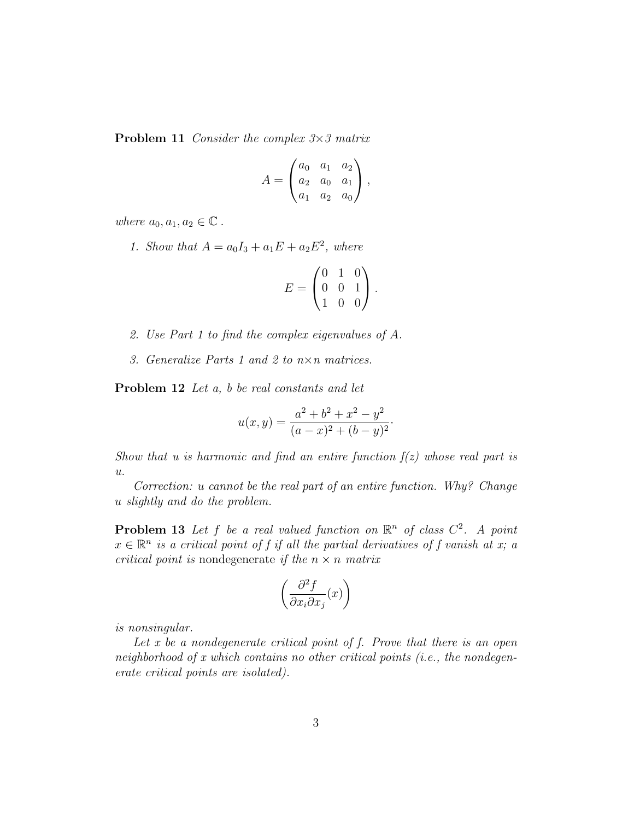**Problem 11** Consider the complex  $3 \times 3$  matrix

$$
A = \begin{pmatrix} a_0 & a_1 & a_2 \\ a_2 & a_0 & a_1 \\ a_1 & a_2 & a_0 \end{pmatrix},
$$

where  $a_0, a_1, a_2 \in \mathbb{C}$ .

1. Show that  $A = a_0 I_3 + a_1 E + a_2 E^2$ , where

$$
E = \begin{pmatrix} 0 & 1 & 0 \\ 0 & 0 & 1 \\ 1 & 0 & 0 \end{pmatrix}.
$$

- 2. Use Part 1 to find the complex eigenvalues of A.
- 3. Generalize Parts 1 and 2 to n×n matrices.

Problem 12 Let a, b be real constants and let

$$
u(x,y) = \frac{a^2 + b^2 + x^2 - y^2}{(a-x)^2 + (b-y)^2}.
$$

Show that u is harmonic and find an entire function  $f(z)$  whose real part is  $u$ .

Correction: u cannot be the real part of an entire function. Why? Change u slightly and do the problem.

**Problem 13** Let f be a real valued function on  $\mathbb{R}^n$  of class  $C^2$ . A point  $x \in \mathbb{R}^n$  is a critical point of f if all the partial derivatives of f vanish at x; a critical point is nondegenerate if the  $n \times n$  matrix

$$
\left(\frac{\partial^2 f}{\partial x_i \partial x_j}(x)\right)
$$

is nonsingular.

Let x be a nondegenerate critical point of  $f$ . Prove that there is an open neighborhood of x which contains no other critical points (i.e., the nondegenerate critical points are isolated).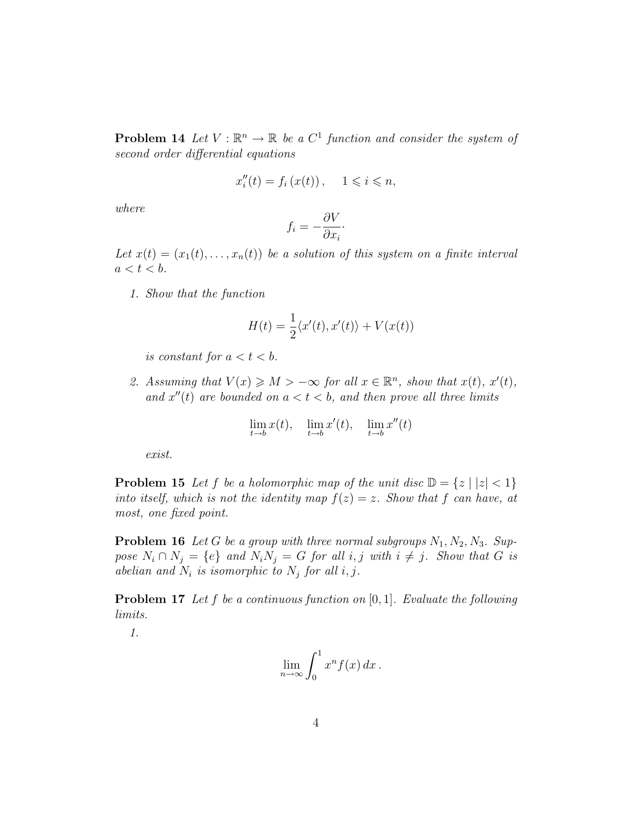**Problem 14** Let  $V : \mathbb{R}^n \to \mathbb{R}$  be a  $C^1$  function and consider the system of second order differential equations

$$
x_i''(t) = f_i(x(t)), \quad 1 \leqslant i \leqslant n,
$$

where

$$
f_i = -\frac{\partial V}{\partial x_i}.
$$

Let  $x(t) = (x_1(t), \ldots, x_n(t))$  be a solution of this system on a finite interval  $a < t < b$ .

1. Show that the function

$$
H(t) = \frac{1}{2} \langle x'(t), x'(t) \rangle + V(x(t))
$$

is constant for  $a < t < b$ .

2. Assuming that  $V(x) \geqslant M > -\infty$  for all  $x \in \mathbb{R}^n$ , show that  $x(t)$ ,  $x'(t)$ , and  $x''(t)$  are bounded on  $a < t < b$ , and then prove all three limits

$$
\lim_{t \to b} x(t), \quad \lim_{t \to b} x'(t), \quad \lim_{t \to b} x''(t)
$$

exist.

**Problem 15** Let f be a holomorphic map of the unit disc  $\mathbb{D} = \{z \mid |z| < 1\}$ into itself, which is not the identity map  $f(z) = z$ . Show that f can have, at most, one fixed point.

**Problem 16** Let G be a group with three normal subgroups  $N_1, N_2, N_3$ . Suppose  $N_i \cap N_j = \{e\}$  and  $N_i N_j = G$  for all  $i, j$  with  $i \neq j$ . Show that G is abelian and  $N_i$  is isomorphic to  $N_j$  for all i, j.

**Problem 17** Let f be a continuous function on  $[0, 1]$ . Evaluate the following limits.

1.

$$
\lim_{n\to\infty}\int_0^1 x^n f(x)\,dx\,.
$$